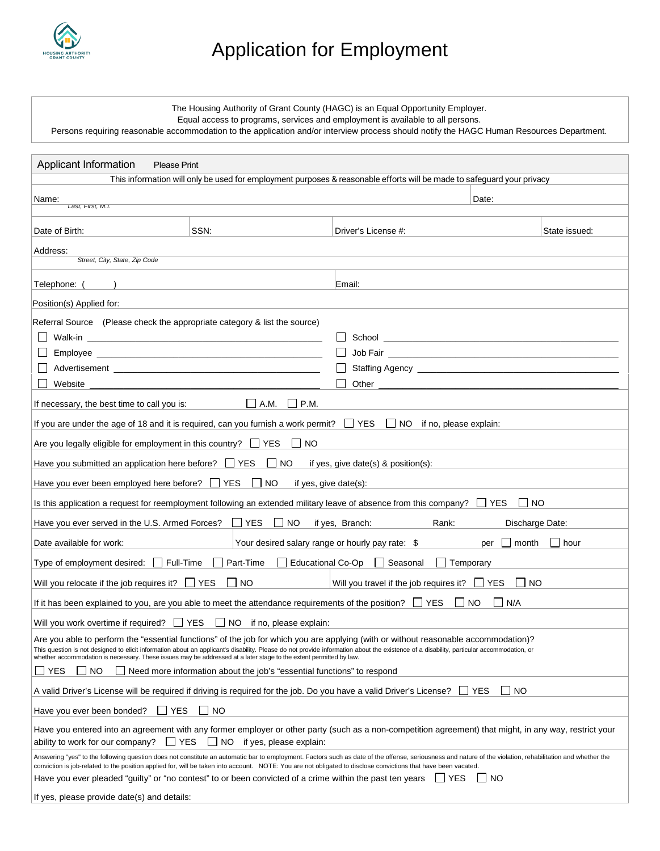

## Application for Employment

The Housing Authority of Grant County (HAGC) is an Equal Opportunity Employer.

Equal access to programs, services and employment is available to all persons.

Persons requiring reasonable accommodation to the application and/or interview process should notify the HAGC Human Resources Department.

| Applicant Information<br><b>Please Print</b>                                                                                                                                                                                                                                                                                                                                                                                                          |                                                                                                                        |                                                                                                                               |                 |  |  |  |  |
|-------------------------------------------------------------------------------------------------------------------------------------------------------------------------------------------------------------------------------------------------------------------------------------------------------------------------------------------------------------------------------------------------------------------------------------------------------|------------------------------------------------------------------------------------------------------------------------|-------------------------------------------------------------------------------------------------------------------------------|-----------------|--|--|--|--|
|                                                                                                                                                                                                                                                                                                                                                                                                                                                       |                                                                                                                        | This information will only be used for employment purposes & reasonable efforts will be made to safeguard your privacy        |                 |  |  |  |  |
| Date:<br>Name:<br>Last, First, M.I.                                                                                                                                                                                                                                                                                                                                                                                                                   |                                                                                                                        |                                                                                                                               |                 |  |  |  |  |
|                                                                                                                                                                                                                                                                                                                                                                                                                                                       |                                                                                                                        |                                                                                                                               |                 |  |  |  |  |
| Date of Birth:                                                                                                                                                                                                                                                                                                                                                                                                                                        | SSN:                                                                                                                   | Driver's License #:                                                                                                           | State issued:   |  |  |  |  |
| Address:                                                                                                                                                                                                                                                                                                                                                                                                                                              |                                                                                                                        |                                                                                                                               |                 |  |  |  |  |
| Street, City, State, Zip Code                                                                                                                                                                                                                                                                                                                                                                                                                         |                                                                                                                        |                                                                                                                               |                 |  |  |  |  |
| Telephone:                                                                                                                                                                                                                                                                                                                                                                                                                                            |                                                                                                                        | Email:                                                                                                                        |                 |  |  |  |  |
| Position(s) Applied for:                                                                                                                                                                                                                                                                                                                                                                                                                              |                                                                                                                        |                                                                                                                               |                 |  |  |  |  |
| Referral Source (Please check the appropriate category & list the source)                                                                                                                                                                                                                                                                                                                                                                             |                                                                                                                        |                                                                                                                               |                 |  |  |  |  |
|                                                                                                                                                                                                                                                                                                                                                                                                                                                       |                                                                                                                        |                                                                                                                               |                 |  |  |  |  |
|                                                                                                                                                                                                                                                                                                                                                                                                                                                       |                                                                                                                        |                                                                                                                               |                 |  |  |  |  |
|                                                                                                                                                                                                                                                                                                                                                                                                                                                       |                                                                                                                        |                                                                                                                               |                 |  |  |  |  |
| Website                                                                                                                                                                                                                                                                                                                                                                                                                                               | <u> 1989 - Johann John Harry, mars and deutscher Schwarzer und der Stadt und der Stadt und der Stadt und der Stadt</u> | Other $\overline{\phantom{a}}$                                                                                                |                 |  |  |  |  |
| If necessary, the best time to call you is:                                                                                                                                                                                                                                                                                                                                                                                                           | $\vert$ $\vert$ A.M. $\vert$ $\vert$ P.M.                                                                              |                                                                                                                               |                 |  |  |  |  |
|                                                                                                                                                                                                                                                                                                                                                                                                                                                       |                                                                                                                        | If you are under the age of 18 and it is required, can you furnish a work permit? $\Box$ YES $\Box$ NO if no, please explain: |                 |  |  |  |  |
| Are you legally eligible for employment in this country? $\Box$ YES                                                                                                                                                                                                                                                                                                                                                                                   | $\Box$ NO                                                                                                              |                                                                                                                               |                 |  |  |  |  |
| Have you submitted an application here before? $\Box$ YES $\Box$ NO                                                                                                                                                                                                                                                                                                                                                                                   |                                                                                                                        | if yes, give date(s) $&$ position(s):                                                                                         |                 |  |  |  |  |
| Have you ever been employed here before? $\Box$ YES $\Box$ NO                                                                                                                                                                                                                                                                                                                                                                                         |                                                                                                                        | if yes, give date(s):                                                                                                         |                 |  |  |  |  |
| Is this application a request for reemployment following an extended military leave of absence from this company?                                                                                                                                                                                                                                                                                                                                     |                                                                                                                        | <b>LI</b> YES<br>I INO                                                                                                        |                 |  |  |  |  |
| Have you ever served in the U.S. Armed Forces? $\Box$ YES $\Box$ NO                                                                                                                                                                                                                                                                                                                                                                                   |                                                                                                                        | if yes, Branch:<br>Rank:                                                                                                      | Discharge Date: |  |  |  |  |
| Your desired salary range or hourly pay rate: \$<br>$\vert$   month<br>$\vert$ $\vert$ hour<br>Date available for work:<br>per                                                                                                                                                                                                                                                                                                                        |                                                                                                                        |                                                                                                                               |                 |  |  |  |  |
| Type of employment desired: □ Full-Time □ Part-Time □ Educational Co-Op □ Seasonal<br>$\Box$ Temporary                                                                                                                                                                                                                                                                                                                                                |                                                                                                                        |                                                                                                                               |                 |  |  |  |  |
| Will you relocate if the job requires it? $\Box$ YES $\Box$ NO<br>Will you travel if the job requires it? $\Box$ YES<br>$\Box$ NO                                                                                                                                                                                                                                                                                                                     |                                                                                                                        |                                                                                                                               |                 |  |  |  |  |
| If it has been explained to you, are you able to meet the attendance requirements of the position? $\Box$ YES<br>NO<br>N/A                                                                                                                                                                                                                                                                                                                            |                                                                                                                        |                                                                                                                               |                 |  |  |  |  |
| Will you work overtime if required? $\Box$ YES $\Box$ NO if no, please explain:                                                                                                                                                                                                                                                                                                                                                                       |                                                                                                                        |                                                                                                                               |                 |  |  |  |  |
| Are you able to perform the "essential functions" of the job for which you are applying (with or without reasonable accommodation)?<br>This question is not designed to elicit information about an applicant's disability. Please do not provide information about the existence of a disability, particular accommodation, or<br>whether accommodation is necessary. These issues may be addressed at a later stage to the extent permitted by law. |                                                                                                                        |                                                                                                                               |                 |  |  |  |  |
| NO.<br>△ Need more information about the job's "essential functions" to respond<br><b>YES</b>                                                                                                                                                                                                                                                                                                                                                         |                                                                                                                        |                                                                                                                               |                 |  |  |  |  |
| $\Box$ NO<br>∐ YES<br>A valid Driver's License will be required if driving is required for the job. Do you have a valid Driver's License?                                                                                                                                                                                                                                                                                                             |                                                                                                                        |                                                                                                                               |                 |  |  |  |  |
| ∐ YES<br><b>NO</b><br>Have you ever been bonded?                                                                                                                                                                                                                                                                                                                                                                                                      |                                                                                                                        |                                                                                                                               |                 |  |  |  |  |
| Have you entered into an agreement with any former employer or other party (such as a non-competition agreement) that might, in any way, restrict your<br>l IYES<br>ability to work for our company?<br>NO.<br>if yes, please explain:                                                                                                                                                                                                                |                                                                                                                        |                                                                                                                               |                 |  |  |  |  |
| Answering "yes" to the following question does not constitute an automatic bar to employment. Factors such as date of the offense, seriousness and nature of the violation, rehabilitation and whether the<br>conviction is job-related to the position applied for, will be taken into account. NOTE: You are not obligated to disclose convictions that have been vacated.                                                                          |                                                                                                                        |                                                                                                                               |                 |  |  |  |  |
| Have you ever pleaded "guilty" or "no contest" to or been convicted of a crime within the past ten years<br>I INO<br>IIYES                                                                                                                                                                                                                                                                                                                            |                                                                                                                        |                                                                                                                               |                 |  |  |  |  |
| If yes, please provide date(s) and details:                                                                                                                                                                                                                                                                                                                                                                                                           |                                                                                                                        |                                                                                                                               |                 |  |  |  |  |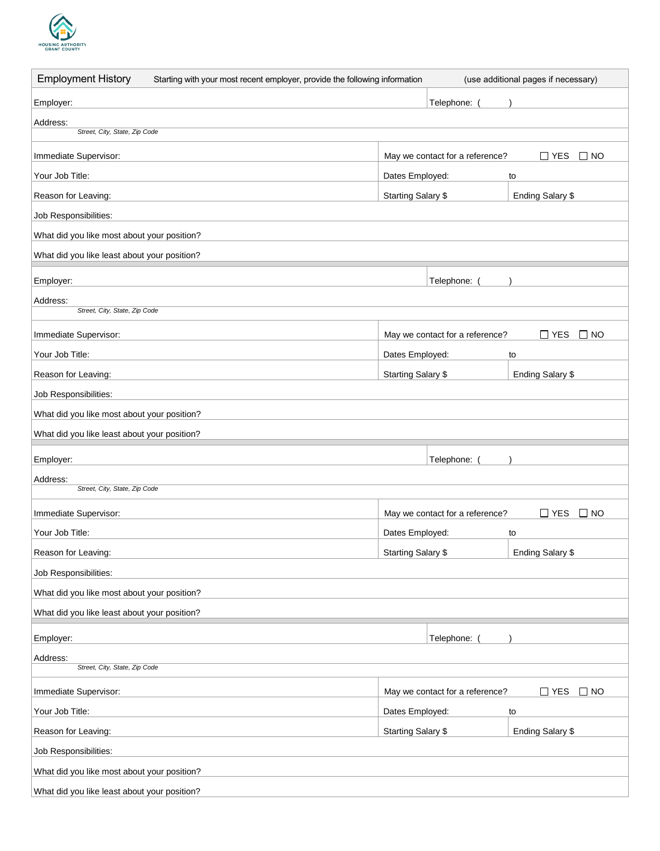

| <b>Employment History</b><br>Starting with your most recent employer, provide the following information |                           |                                 | (use additional pages if necessary) |
|---------------------------------------------------------------------------------------------------------|---------------------------|---------------------------------|-------------------------------------|
| Employer:                                                                                               |                           | Telephone:                      |                                     |
| Address:                                                                                                |                           |                                 |                                     |
| Street, City, State, Zip Code                                                                           |                           |                                 |                                     |
| Immediate Supervisor:                                                                                   |                           | May we contact for a reference? | $\square$ NO<br>$\Box$ YES          |
| Your Job Title:                                                                                         | Dates Employed:           |                                 | to                                  |
| Reason for Leaving:                                                                                     | <b>Starting Salary \$</b> |                                 | Ending Salary \$                    |
| Job Responsibilities:                                                                                   |                           |                                 |                                     |
| What did you like most about your position?                                                             |                           |                                 |                                     |
| What did you like least about your position?                                                            |                           |                                 |                                     |
| Employer:                                                                                               |                           | Telephone:                      |                                     |
| Address:                                                                                                |                           |                                 |                                     |
| Street, City, State, Zip Code                                                                           |                           |                                 |                                     |
| Immediate Supervisor:                                                                                   |                           | May we contact for a reference? | $\Box$ YES<br>$\square$ NO          |
| Your Job Title:                                                                                         | Dates Employed:           |                                 | to                                  |
| Reason for Leaving:                                                                                     | Starting Salary \$        |                                 | Ending Salary \$                    |
| Job Responsibilities:                                                                                   |                           |                                 |                                     |
| What did you like most about your position?                                                             |                           |                                 |                                     |
| What did you like least about your position?                                                            |                           |                                 |                                     |
| Employer:                                                                                               |                           | Telephone:                      |                                     |
| Address:                                                                                                |                           |                                 |                                     |
| Street, City, State, Zip Code                                                                           |                           |                                 |                                     |
| Immediate Supervisor:                                                                                   |                           | May we contact for a reference? | $\Box$ YES<br>$\Box$ NO             |
| Your Job Title:                                                                                         | Dates Employed:           |                                 | to                                  |
| Reason for Leaving:                                                                                     | Starting Salary \$        |                                 | Ending Salary \$                    |
| Job Responsibilities:                                                                                   |                           |                                 |                                     |
| What did you like most about your position?                                                             |                           |                                 |                                     |
| What did you like least about your position?                                                            |                           |                                 |                                     |
| Employer:                                                                                               |                           | Telephone:                      |                                     |
| Address:<br>Street, City, State, Zip Code                                                               |                           |                                 |                                     |
|                                                                                                         |                           |                                 |                                     |
| Immediate Supervisor:                                                                                   |                           | May we contact for a reference? | $\square$ YES<br>$\Box$ NO          |
| Your Job Title:                                                                                         | Dates Employed:           |                                 | to                                  |
| Reason for Leaving:                                                                                     | <b>Starting Salary \$</b> |                                 | Ending Salary \$                    |
| Job Responsibilities:                                                                                   |                           |                                 |                                     |
| What did you like most about your position?                                                             |                           |                                 |                                     |
| What did you like least about your position?                                                            |                           |                                 |                                     |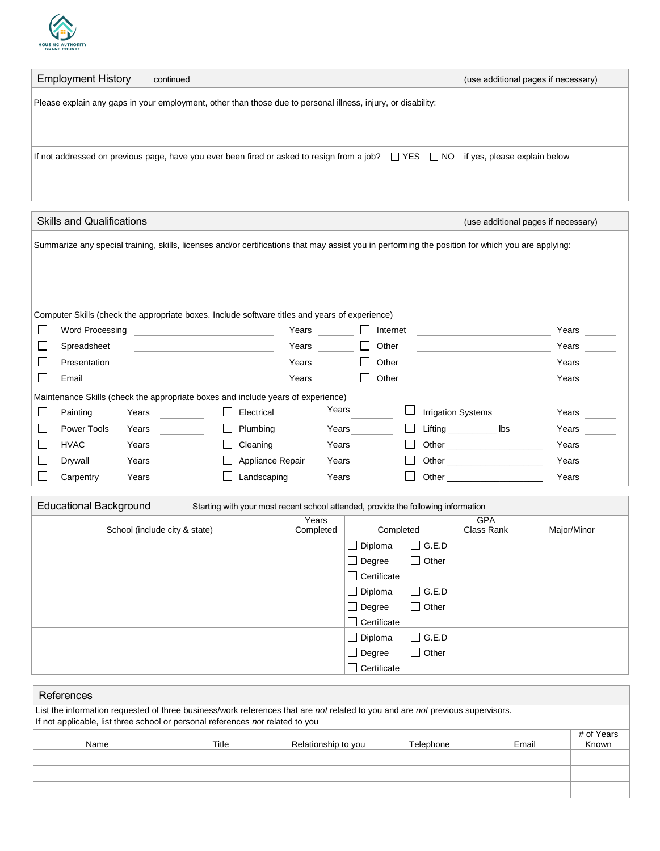

| <b>Employment History</b>                                                                                    | continued                                                                                                                                    | (use additional pages if necessary) |  |  |  |  |  |
|--------------------------------------------------------------------------------------------------------------|----------------------------------------------------------------------------------------------------------------------------------------------|-------------------------------------|--|--|--|--|--|
| Please explain any gaps in your employment, other than those due to personal illness, injury, or disability: |                                                                                                                                              |                                     |  |  |  |  |  |
|                                                                                                              |                                                                                                                                              |                                     |  |  |  |  |  |
|                                                                                                              |                                                                                                                                              |                                     |  |  |  |  |  |
|                                                                                                              | If not addressed on previous page, have you ever been fired or asked to resign from a job? $\Box$ YES $\Box$ NO if yes, please explain below |                                     |  |  |  |  |  |
|                                                                                                              |                                                                                                                                              |                                     |  |  |  |  |  |
|                                                                                                              |                                                                                                                                              |                                     |  |  |  |  |  |
|                                                                                                              |                                                                                                                                              |                                     |  |  |  |  |  |

| <b>Skills and Qualifications</b>                                                                                                                  |                                                                                                |       |  |  |                  |       | (use additional pages if necessary) |  |          |  |                                                                                                                                                                                                                                |       |
|---------------------------------------------------------------------------------------------------------------------------------------------------|------------------------------------------------------------------------------------------------|-------|--|--|------------------|-------|-------------------------------------|--|----------|--|--------------------------------------------------------------------------------------------------------------------------------------------------------------------------------------------------------------------------------|-------|
| Summarize any special training, skills, licenses and/or certifications that may assist you in performing the position for which you are applying: |                                                                                                |       |  |  |                  |       |                                     |  |          |  |                                                                                                                                                                                                                                |       |
|                                                                                                                                                   | Computer Skills (check the appropriate boxes. Include software titles and years of experience) |       |  |  |                  |       |                                     |  |          |  |                                                                                                                                                                                                                                |       |
|                                                                                                                                                   | Word Processing                                                                                |       |  |  |                  | Years |                                     |  | Internet |  |                                                                                                                                                                                                                                | Years |
|                                                                                                                                                   | Spreadsheet                                                                                    |       |  |  |                  | Years |                                     |  | Other    |  |                                                                                                                                                                                                                                | Years |
|                                                                                                                                                   | Presentation                                                                                   |       |  |  |                  | Years |                                     |  | Other    |  |                                                                                                                                                                                                                                | Years |
|                                                                                                                                                   | Email                                                                                          |       |  |  |                  | Years |                                     |  | Other    |  |                                                                                                                                                                                                                                | Years |
| Maintenance Skills (check the appropriate boxes and include years of experience)                                                                  |                                                                                                |       |  |  |                  |       |                                     |  |          |  |                                                                                                                                                                                                                                |       |
|                                                                                                                                                   | Painting                                                                                       | Years |  |  | Electrical       |       | Years                               |  |          |  | <b>Irrigation Systems</b>                                                                                                                                                                                                      | Years |
|                                                                                                                                                   | Power Tools                                                                                    | Years |  |  | Plumbing         |       | Years                               |  |          |  | Lifting __________<br>lbs                                                                                                                                                                                                      | Years |
|                                                                                                                                                   | <b>HVAC</b>                                                                                    | Years |  |  | Cleaning         |       | Years                               |  |          |  | <b>Other Community</b>                                                                                                                                                                                                         | Years |
|                                                                                                                                                   | Drywall                                                                                        | Years |  |  | Appliance Repair |       | Years                               |  |          |  | Other the contract of the contract of the contract of the contract of the contract of the contract of the contract of the contract of the contract of the contract of the contract of the contract of the contract of the cont | Years |
|                                                                                                                                                   | Carpentry                                                                                      | Years |  |  | Landscaping      |       | Years                               |  |          |  | Other the control of the control of the control of the control of the control of the control of the control of the control of the control of the control of the control of the control of the control of the control of the co | Years |

| <b>Educational Background</b><br>Starting with your most recent school attended, provide the following information |                    |                    |                 |                          |             |
|--------------------------------------------------------------------------------------------------------------------|--------------------|--------------------|-----------------|--------------------------|-------------|
| School (include city & state)                                                                                      | Years<br>Completed | Completed          |                 | <b>GPA</b><br>Class Rank | Major/Minor |
|                                                                                                                    |                    | $\Box$ Diploma     | $\square$ G.E.D |                          |             |
|                                                                                                                    |                    | $\Box$ Degree      | Other           |                          |             |
|                                                                                                                    |                    | Certificate        |                 |                          |             |
|                                                                                                                    |                    | $\Box$ Diploma     | $\Box$ G.E.D    |                          |             |
|                                                                                                                    |                    | $\Box$ Degree      | $\Box$ Other    |                          |             |
|                                                                                                                    |                    | $\Box$ Certificate |                 |                          |             |
|                                                                                                                    |                    | $\Box$ Diploma     | $\Box$ G.E.D    |                          |             |
|                                                                                                                    |                    | $\Box$ Degree      | Other           |                          |             |
|                                                                                                                    |                    | Certificate        |                 |                          |             |

| References                                                                                                                     |       |                     |           |       |                     |  |  |
|--------------------------------------------------------------------------------------------------------------------------------|-------|---------------------|-----------|-------|---------------------|--|--|
| List the information requested of three business/work references that are not related to you and are not previous supervisors. |       |                     |           |       |                     |  |  |
| If not applicable, list three school or personal references not related to you                                                 |       |                     |           |       |                     |  |  |
| Name                                                                                                                           | Title | Relationship to you | Telephone | Email | # of Years<br>Known |  |  |
|                                                                                                                                |       |                     |           |       |                     |  |  |
|                                                                                                                                |       |                     |           |       |                     |  |  |
|                                                                                                                                |       |                     |           |       |                     |  |  |